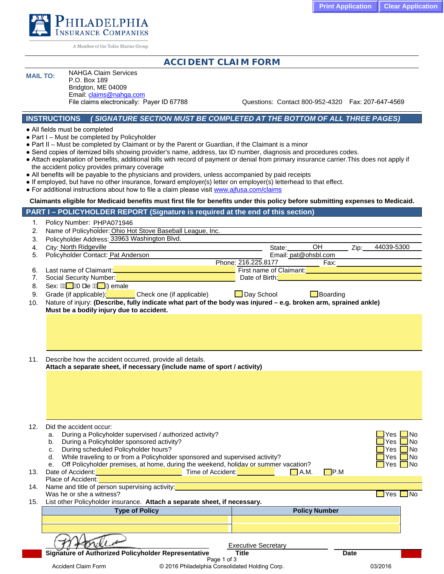

A Member of the Tokio Marine Group

# **ACCIDENT CLAIM FORM**

## **MAIL TO:** NAHGA Claim Services

P.O. Box 189 Bridgton, ME 04009 Email: claims@nahga.com<br>File claims electronically: Payer ID 67788

Questions: Contact 800-952-4320 Fax: 207-647-4569

#### **INSTRUCTIONS** *( SIGNATURE SECTION MUST BE COMPLETED AT THE BOTTOM OF ALL THREE PAGES)*

● All fields must be completed

1. Policy Number:

- Part I Must be completed by Policyholder
- Part II Must be completed by Claimant or by the Parent or Guardian, if the Claimant is a minor
- Send copies of itemized bills showing provider's name, address, tax ID number, diagnosis and procedures codes.
- Attach explanation of benefits, additional bills with record of payment or denial from primary insurance carrier.This does not apply if the accident policy provides primary coverage
- All benefits will be payable to the physicians and providers, unless accompanied by paid receipts
- If employed, but have no other insurance, forward employer(s) letter on employer(s) letterhead to that effect.
- For additional instructions about how to file a claim please visit [www.ajfusa.com/claims](http://www.ajfusa.com/claims)

#### **Claimants eligible for Medicaid benefits must first file for benefits under this policy before submitting expenses to Medicaid.**

| PART I – POLICYHOLDER REPORT (Signature is required at the end of this section) A |  |
|-----------------------------------------------------------------------------------|--|
|-----------------------------------------------------------------------------------|--|

|     | Policy Number: PHPA071946                                                                                        |                     |        |                                             |      |            |
|-----|------------------------------------------------------------------------------------------------------------------|---------------------|--------|---------------------------------------------|------|------------|
| 2.  | Name of Policyholder: Ohio Hot Stove Baseball League, Inc.                                                       |                     |        |                                             |      |            |
| 3.  | Policyholder Address: 33963 Washington Blvd.                                                                     |                     |        |                                             |      |            |
| 4.  | City: North Ridgeville                                                                                           |                     | State: | OH                                          | Zip: | 44039-5300 |
| 5.  | Policyholder Contact: Pat Anderson                                                                               |                     |        | Email: pat@ohsbl.com                        |      |            |
|     |                                                                                                                  | Phone: 216.225.8177 |        | Fax:                                        |      |            |
| 6.  | Last name of Claimant:<br><u>Last name of Claimant:</u>                                                          |                     |        | <b>First name of Claimant: Example 2014</b> |      |            |
|     | Social Security Number:                                                                                          | Date of Birth:      |        |                                             |      |            |
| 8.  | Sex: MA WAT are MA WaZemale                                                                                      |                     |        |                                             |      |            |
| 9.  | Grade (if applicable): Check one (if applicable)                                                                 | Day School          |        | $\Box$ Boarding                             |      |            |
| 10. | Nature of injury: (Describe, fully indicate what part of the body was injured – e.g. broken arm, sprained ankle) |                     |        |                                             |      |            |
|     | Must be a bodily injury due to accident.                                                                         |                     |        |                                             |      |            |
|     |                                                                                                                  |                     |        |                                             |      |            |
|     |                                                                                                                  |                     |        |                                             |      |            |
|     |                                                                                                                  |                     |        |                                             |      |            |
|     |                                                                                                                  |                     |        |                                             |      |            |
|     |                                                                                                                  |                     |        |                                             |      |            |
| 11. | Describe how the accident occurred, provide all details.                                                         |                     |        |                                             |      |            |

**Attach a separate sheet, if necessary (include name of sport / activity)**

| Did the accident occur:                                       |                                                                                                                                                                                                             |                                                                                                                                                                                                                                                                                                                                                                                                                                                            |                                                                              |
|---------------------------------------------------------------|-------------------------------------------------------------------------------------------------------------------------------------------------------------------------------------------------------------|------------------------------------------------------------------------------------------------------------------------------------------------------------------------------------------------------------------------------------------------------------------------------------------------------------------------------------------------------------------------------------------------------------------------------------------------------------|------------------------------------------------------------------------------|
| During a Policyholder supervised / authorized activity?<br>a. |                                                                                                                                                                                                             | Yes L∐No                                                                                                                                                                                                                                                                                                                                                                                                                                                   |                                                                              |
| During a Policyholder sponsored activity?<br>b.               |                                                                                                                                                                                                             | es.                                                                                                                                                                                                                                                                                                                                                                                                                                                        | l No                                                                         |
| c.                                                            |                                                                                                                                                                                                             | Yes                                                                                                                                                                                                                                                                                                                                                                                                                                                        | - I No                                                                       |
|                                                               |                                                                                                                                                                                                             | Yes.                                                                                                                                                                                                                                                                                                                                                                                                                                                       | □No                                                                          |
|                                                               |                                                                                                                                                                                                             |                                                                                                                                                                                                                                                                                                                                                                                                                                                            | l No                                                                         |
|                                                               |                                                                                                                                                                                                             |                                                                                                                                                                                                                                                                                                                                                                                                                                                            |                                                                              |
|                                                               |                                                                                                                                                                                                             |                                                                                                                                                                                                                                                                                                                                                                                                                                                            |                                                                              |
|                                                               |                                                                                                                                                                                                             |                                                                                                                                                                                                                                                                                                                                                                                                                                                            |                                                                              |
|                                                               |                                                                                                                                                                                                             |                                                                                                                                                                                                                                                                                                                                                                                                                                                            |                                                                              |
| 15.                                                           |                                                                                                                                                                                                             |                                                                                                                                                                                                                                                                                                                                                                                                                                                            |                                                                              |
|                                                               |                                                                                                                                                                                                             |                                                                                                                                                                                                                                                                                                                                                                                                                                                            |                                                                              |
|                                                               |                                                                                                                                                                                                             |                                                                                                                                                                                                                                                                                                                                                                                                                                                            |                                                                              |
|                                                               |                                                                                                                                                                                                             |                                                                                                                                                                                                                                                                                                                                                                                                                                                            |                                                                              |
|                                                               |                                                                                                                                                                                                             |                                                                                                                                                                                                                                                                                                                                                                                                                                                            |                                                                              |
| Signature of Authorized Policyholder Representative           | <b>Title</b>                                                                                                                                                                                                | Date                                                                                                                                                                                                                                                                                                                                                                                                                                                       |                                                                              |
|                                                               |                                                                                                                                                                                                             |                                                                                                                                                                                                                                                                                                                                                                                                                                                            |                                                                              |
|                                                               |                                                                                                                                                                                                             |                                                                                                                                                                                                                                                                                                                                                                                                                                                            |                                                                              |
|                                                               | During scheduled Policyholder hours?<br>d.<br>е.<br>Place of Accident:<br>Name and title of person supervising activity:<br>Was he or she a witness?<br><b>Type of Policy</b><br><b>Accident Claim Form</b> | While traveling to or from a Policyholder sponsored and supervised activity?<br>Off Policyholder premises, at home, during the weekend, holiday or summer vacation?<br>$\Box$ A.M.<br>Date of Accident: Network and Social Contract of Accident: Network and Society Accident:<br>List other Policyholder insurance. Attach a separate sheet, if necessary.<br><b>Executive Secretary</b><br>Page 1 of 3<br>© 2016 Philadelphia Consolidated Holding Corp. | Yes I<br>$\blacksquare$ P.M<br><b>Yes</b><br><b>Policy Number</b><br>03/2016 |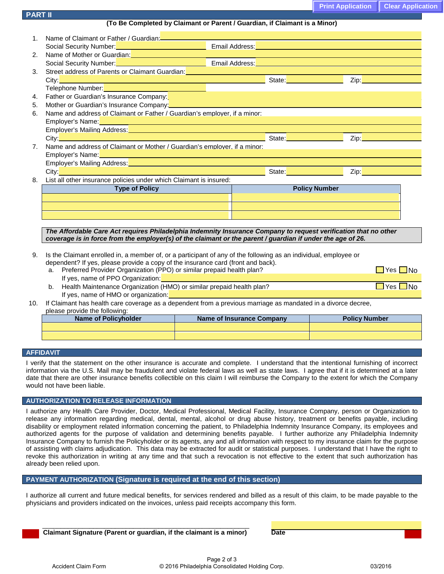| <b>Print Application   Clear Application</b> |  |
|----------------------------------------------|--|
|----------------------------------------------|--|

**(To Be Completed by Claimant or Parent / Guardian, if Claimant is a Minor)**

| $1_{-}$        |                                                                                                                                                                                                                                          |                                                                     |                                                    |
|----------------|------------------------------------------------------------------------------------------------------------------------------------------------------------------------------------------------------------------------------------------|---------------------------------------------------------------------|----------------------------------------------------|
|                | Social Security Number: <b>Constitution of the Constitution</b> Email Address: <b>Constitution of the Constitution</b> of the Constitution of the Constitution of the Constitution of the Constitution of the Constitution of the Consti |                                                                     |                                                    |
| 2.             | Name of Mother or Guardian:<br>Social Security Number: Number 2008 (2009) 2009 - Email Address:                                                                                                                                          |                                                                     |                                                    |
|                |                                                                                                                                                                                                                                          |                                                                     |                                                    |
| 3.             | Street address of Parents or Claimant Guardian: <b>Cambridge Contract Control of Parents Contract Control of Table 201</b>                                                                                                               |                                                                     |                                                    |
|                | City: <u>Contract Community Community Community Community Community Community Community Community Community Community<br/>Telephone Number:</u>                                                                                          |                                                                     | State: <b>Example 2</b> Zip: <b>Example 2</b> Zip: |
|                |                                                                                                                                                                                                                                          |                                                                     |                                                    |
| 4.             | Father or Guardian's Insurance Company:                                                                                                                                                                                                  |                                                                     |                                                    |
| 5.             | Mother or Guardian's Insurance Company:<br>Mother or Guardian's Insurance Company:<br>2020 - 2021 - 2022 - 2022 - 2022 - 2022 - 2022 - 2022 - 2022 - 2022 - 2022 - 2022 - 2022 - 2022 - 2022 - 2022                                      |                                                                     |                                                    |
| 6.             | Name and address of Claimant or Father / Guardian's employer, if a minor:                                                                                                                                                                |                                                                     |                                                    |
|                | Employer's Name: <u>December 2008 and the contract of the contract of the contract of the contract of the contract of the contract of the contract of the contract of the contract of the contract of the contract of the contra</u>     |                                                                     |                                                    |
|                | Employer's Mailing Address: New York State Address: New York State Address: New York State Address:                                                                                                                                      |                                                                     |                                                    |
|                |                                                                                                                                                                                                                                          |                                                                     |                                                    |
| 7 <sub>1</sub> | Name and address of Claimant or Mother / Guardian's employer, if a minor:                                                                                                                                                                |                                                                     |                                                    |
|                | Employer's Name: with the contract of the contract of the contract of the contract of the contract of the contract of                                                                                                                    |                                                                     |                                                    |
|                | Employer's Mailing Address: Manual Manual Manual Manual Manual Manual Manual Manual Manual Manual Manual Manua                                                                                                                           |                                                                     |                                                    |
|                | City: <b>Carl Andrew Community of Community</b> and Community and Community and Community and Community and Community                                                                                                                    |                                                                     | State: Zip: Zip:                                   |
| 8.             | List all other insurance policies under which Claimant is insured:                                                                                                                                                                       |                                                                     |                                                    |
|                | <b>Type of Policy</b>                                                                                                                                                                                                                    | <b>Policy Number</b>                                                |                                                    |
|                |                                                                                                                                                                                                                                          |                                                                     |                                                    |
|                | ,我们也不会有什么。""我们的人,我们也不会有什么?""我们的人,我们也不会有什么?""我们的人,我们也不会有什么?""我们的人,我们也不会有什么?""我们的人                                                                                                                                                         | <u> 1989 - Andrea Stadt Britain, amerikansk politiker (d. 1989)</u> |                                                    |
|                |                                                                                                                                                                                                                                          |                                                                     |                                                    |
|                |                                                                                                                                                                                                                                          |                                                                     |                                                    |
|                | The Affordable Care Act requires Philadelphia Indemnity Insurance Company to request verification that no other                                                                                                                          |                                                                     |                                                    |
|                | coverage is in force from the employer(s) of the claimant or the parent / guardian if under the age of 26.                                                                                                                               |                                                                     |                                                    |
|                |                                                                                                                                                                                                                                          |                                                                     |                                                    |
| 9.             | Is the Claimant enrolled in, a member of, or a participant of any of the following as an individual, employee or<br>dependent? If you please provide a copy of the incurance eard (front and book)                                       |                                                                     |                                                    |

dependent? If yes, please provide a copy of the insurance card (front and back). a. Preferred Provider Organization (PPO) or similar prepaid health plan?

| -9 | N٥ |
|----|----|
|    |    |

- If yes, name of PPO Organization: b. Health Maintenance Organization (HMO) or similar prepaid health plan?  $\Box$  Yes  $\Box$  Yes  $\Box$  No If yes, name of HMO or organization:
- 10. If Claimant has health care coverage as a dependent from a previous marriage as mandated in a divorce decree, please provide the following:

| <b>Name of Policyholder</b> | Name of Insurance Company | <b>Policy Number</b> |
|-----------------------------|---------------------------|----------------------|
|                             |                           |                      |
|                             |                           |                      |

### **AFFIDAVIT**

**PART II** 

I verify that the statement on the other insurance is accurate and complete. I understand that the intentional furnishing of incorrect information via the U.S. Mail may be fraudulent and violate federal laws as well as state laws. I agree that if it is determined at a later date that there are other insurance benefits collectible on this claim I will reimburse the Company to the extent for which the Company would not have been liable.

### **AUTHORIZATION TO RELEASE INFORMATION**

I authorize any Health Care Provider, Doctor, Medical Professional, Medical Facility, Insurance Company, person or Organization to release any information regarding medical, dental, mental, alcohol or drug abuse history, treatment or benefits payable, including disability or employment related information concerning the patient, to Philadelphia Indemnity Insurance Company, its employees and authorized agents for the purpose of validation and determining benefits payable. I further authorize any Philadelphia Indemnity Insurance Company to furnish the Policyholder or its agents, any and all information with respect to my insurance claim for the purpose of assisting with claims adjudication. This data may be extracted for audit or statistical purposes. I understand that I have the right to revoke this authorization in writing at any time and that such a revocation is not effective to the extent that such authorization has already been relied upon.

### **PAYMENT AUTHORIZATION (Signature is required at the end of this section)**

I authorize all current and future medical benefits, for services rendered and billed as a result of this claim, to be made payable to the physicians and providers indicated on the invoices, unless paid receipts accompany this form.

 \_\_\_\_\_\_\_\_\_\_\_\_\_\_\_\_\_\_\_\_\_\_\_\_\_\_\_\_\_\_\_\_\_\_\_\_\_\_\_\_\_\_\_\_\_\_\_\_\_\_\_\_\_\_\_\_\_ **Claimant Signature (Parent or guardian, if the claimant is a minor) Date**